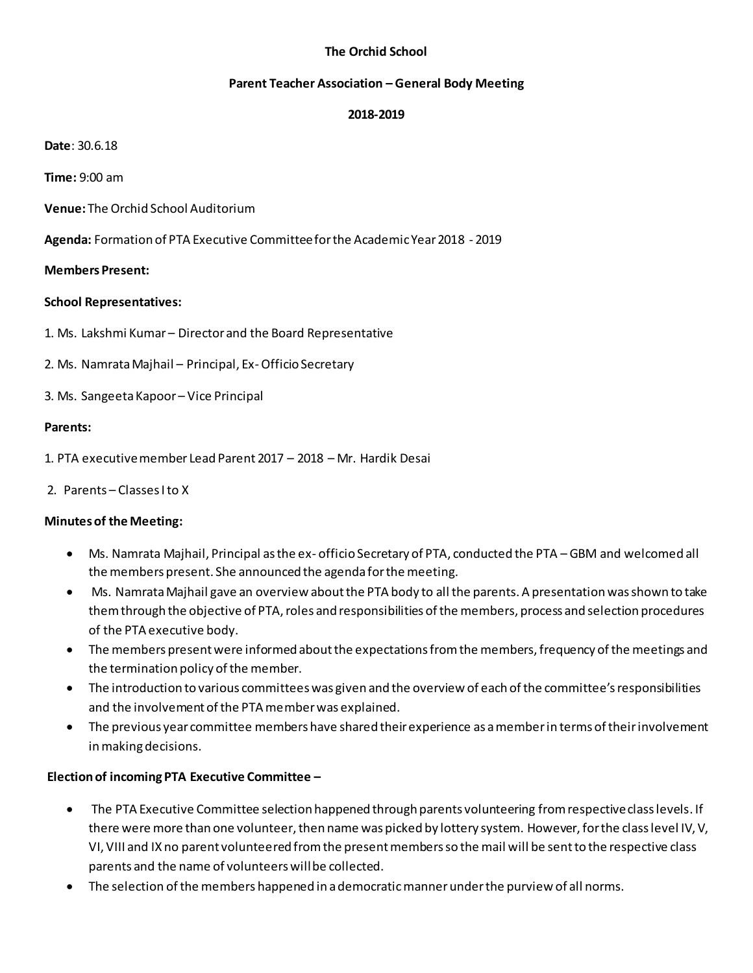# **The Orchid School**

#### **Parent Teacher Association – General Body Meeting**

### **2018-2019**

**Date**: 30.6.18

**Time:** 9:00 am

**Venue:** The Orchid School Auditorium

**Agenda:** Formation of PTA Executive Committee for the Academic Year 2018 - 2019

#### **Members Present:**

#### **School Representatives:**

- 1. Ms. Lakshmi Kumar Director and the Board Representative
- 2. Ms. Namrata Majhail Principal, Ex-Officio Secretary
- 3. Ms. Sangeeta Kapoor Vice Principal

#### **Parents:**

- 1. PTA executive member Lead Parent 2017 2018 Mr. Hardik Desai
- 2. Parents Classes I to X

### **Minutes of the Meeting:**

- Ms. Namrata Majhail, Principal as the ex- officio Secretary of PTA, conducted the PTA GBM and welcomed all the members present. She announced the agenda for the meeting.
- Ms. Namrata Majhail gave an overview about the PTA body to all the parents. A presentation was shown to take them through the objective of PTA, roles and responsibilities of the members, process and selection procedures of the PTA executive body.
- The members present were informed about the expectations from the members, frequency of the meetings and the termination policy of the member.
- The introduction to various committees was given and the overview of each of the committee's responsibilities and the involvement of the PTA member was explained.
- The previous year committee members have shared their experience as a memberin terms of their involvement in making decisions.

# **Election of incoming PTA Executive Committee –**

- The PTA Executive Committee selection happened through parents volunteering from respective class levels. If there were more than one volunteer, then name was picked by lottery system. However, for the class level IV, V, VI, VIII and IX no parent volunteered from the present members so the mail will be sent to the respective class parents and the name of volunteers will be collected.
- The selection of the members happened in a democratic mannerunder the purview of all norms.